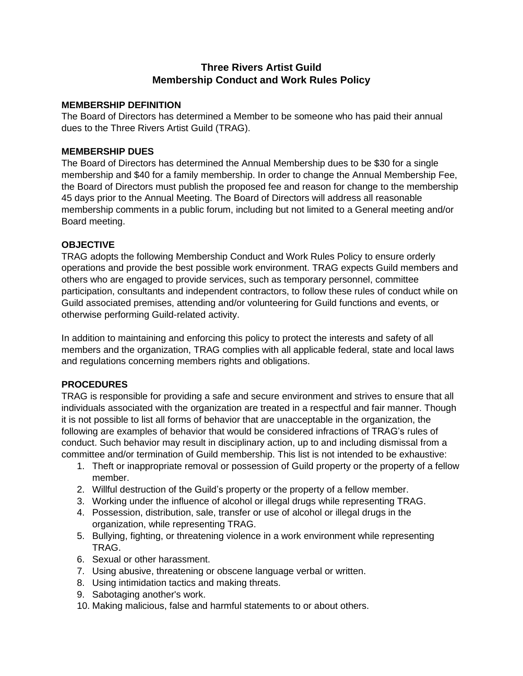# **Three Rivers Artist Guild Membership Conduct and Work Rules Policy**

#### **MEMBERSHIP DEFINITION**

The Board of Directors has determined a Member to be someone who has paid their annual dues to the Three Rivers Artist Guild (TRAG).

### **MEMBERSHIP DUES**

The Board of Directors has determined the Annual Membership dues to be \$30 for a single membership and \$40 for a family membership. In order to change the Annual Membership Fee, the Board of Directors must publish the proposed fee and reason for change to the membership 45 days prior to the Annual Meeting. The Board of Directors will address all reasonable membership comments in a public forum, including but not limited to a General meeting and/or Board meeting.

### **OBJECTIVE**

TRAG adopts the following Membership Conduct and Work Rules Policy to ensure orderly operations and provide the best possible work environment. TRAG expects Guild members and others who are engaged to provide services, such as temporary personnel, committee participation, consultants and independent contractors, to follow these rules of conduct while on Guild associated premises, attending and/or volunteering for Guild functions and events, or otherwise performing Guild-related activity.

In addition to maintaining and enforcing this policy to protect the interests and safety of all members and the organization, TRAG complies with all applicable federal, state and local laws and regulations concerning members rights and obligations.

## **PROCEDURES**

TRAG is responsible for providing a safe and secure environment and strives to ensure that all individuals associated with the organization are treated in a respectful and fair manner. Though it is not possible to list all forms of behavior that are unacceptable in the organization, the following are examples of behavior that would be considered infractions of TRAG's rules of conduct. Such behavior may result in disciplinary action, up to and including dismissal from a committee and/or termination of Guild membership. This list is not intended to be exhaustive:

- 1. Theft or inappropriate removal or possession of Guild property or the property of a fellow member.
- 2. Willful destruction of the Guild's property or the property of a fellow member.
- 3. Working under the influence of alcohol or illegal drugs while representing TRAG.
- 4. Possession, distribution, sale, transfer or use of alcohol or illegal drugs in the organization, while representing TRAG.
- 5. Bullying, fighting, or threatening violence in a work environment while representing TRAG.
- 6. Sexual or other harassment.
- 7. Using abusive, threatening or obscene language verbal or written.
- 8. Using intimidation tactics and making threats.
- 9. Sabotaging another's work.
- 10. Making malicious, false and harmful statements to or about others.